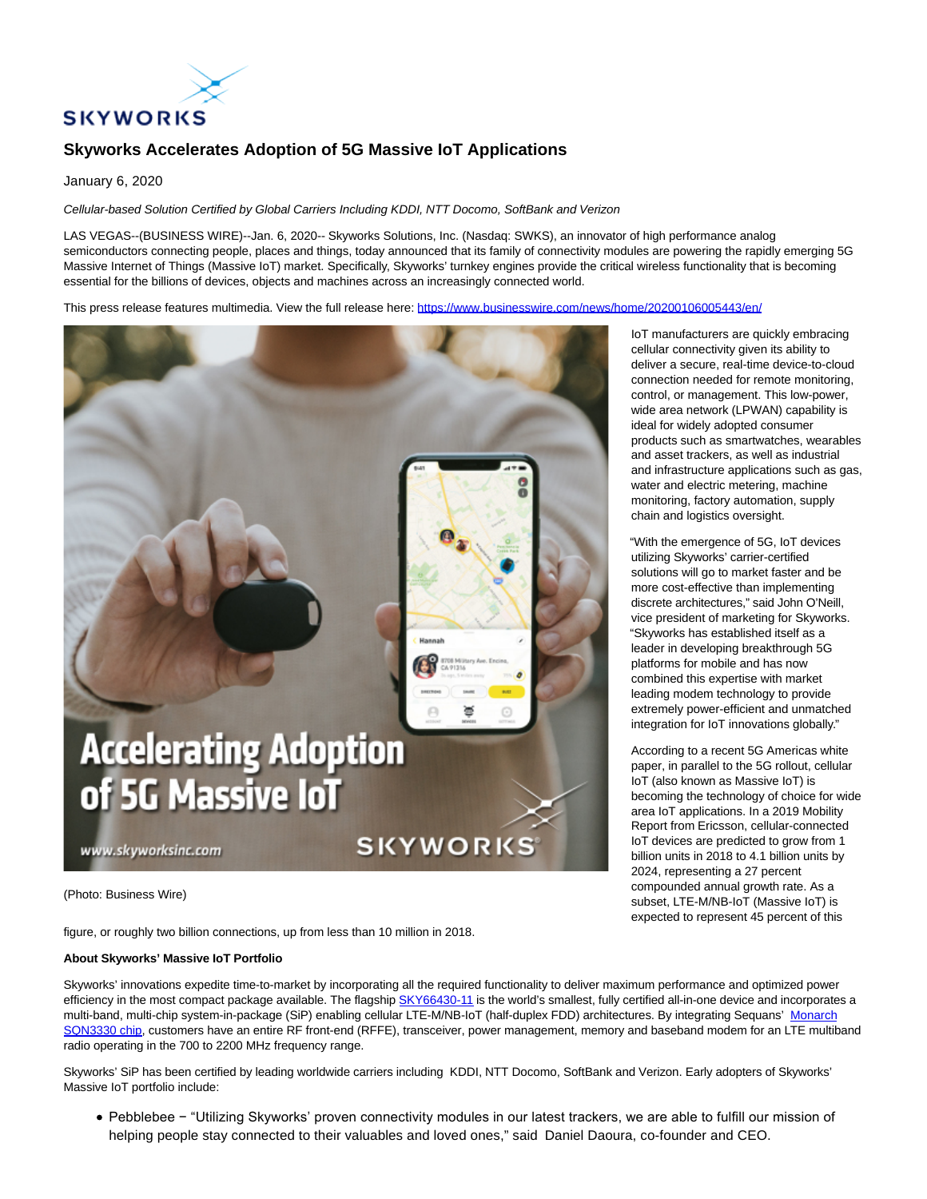

# **Skyworks Accelerates Adoption of 5G Massive IoT Applications**

January 6, 2020

Cellular-based Solution Certified by Global Carriers Including KDDI, NTT Docomo, SoftBank and Verizon

LAS VEGAS--(BUSINESS WIRE)--Jan. 6, 2020-- Skyworks Solutions, Inc. (Nasdaq: SWKS), an innovator of high performance analog semiconductors connecting people, places and things, today announced that its family of connectivity modules are powering the rapidly emerging 5G Massive Internet of Things (Massive IoT) market. Specifically, Skyworks' turnkey engines provide the critical wireless functionality that is becoming essential for the billions of devices, objects and machines across an increasingly connected world.

This press release features multimedia. View the full release here:<https://www.businesswire.com/news/home/20200106005443/en/>



(Photo: Business Wire)

figure, or roughly two billion connections, up from less than 10 million in 2018.

### **About Skyworks' Massive IoT Portfolio**

Skyworks' innovations expedite time-to-market by incorporating all the required functionality to deliver maximum performance and optimized power efficiency in the most compact package available. The flagship [SKY66430-11](https://cts.businesswire.com/ct/CT?id=smartlink&url=https%3A%2F%2Fwww.skyworksinc.com%2Fproducts%2Ffront-end-modules%2Fsky66430-11%3Fsource%3Dpr&esheet=52153542&newsitemid=20200106005443&lan=en-US&anchor=SKY66430-11&index=1&md5=35ec2a9fb92161a5b799b787e3fb04e5) is the world's smallest, fully certified all-in-one device and incorporates a multi-band, multi-chip system-in-package (SiP) enabling cellular LTE-M/NB-IoT (half-duplex FDD) architectures. By integrating Sequans' [Monarch](https://cts.businesswire.com/ct/CT?id=smartlink&url=https%3A%2F%2Fwww.sequans.com%2Fproducts-solutions%2Fmonarch-lte-platform%2F&esheet=52153542&newsitemid=20200106005443&lan=en-US&anchor=Monarch+SQN3330+chip&index=2&md5=2fce7cd52c32557f002b290a5aba5445) SQN3330 chip, customers have an entire RF front-end (RFFE), transceiver, power management, memory and baseband modem for an LTE multiband radio operating in the 700 to 2200 MHz frequency range.

Skyworks' SiP has been certified by leading worldwide carriers including KDDI, NTT Docomo, SoftBank and Verizon. Early adopters of Skyworks' Massive IoT portfolio include:

Pebblebee − "Utilizing Skyworks' proven connectivity modules in our latest trackers, we are able to fulfill our mission of helping people stay connected to their valuables and loved ones," said Daniel Daoura, co-founder and CEO.

IoT manufacturers are quickly embracing cellular connectivity given its ability to deliver a secure, real-time device-to-cloud connection needed for remote monitoring, control, or management. This low-power, wide area network (LPWAN) capability is ideal for widely adopted consumer products such as smartwatches, wearables and asset trackers, as well as industrial and infrastructure applications such as gas, water and electric metering, machine monitoring, factory automation, supply chain and logistics oversight.

"With the emergence of 5G, IoT devices utilizing Skyworks' carrier-certified solutions will go to market faster and be more cost-effective than implementing discrete architectures," said John O'Neill, vice president of marketing for Skyworks. "Skyworks has established itself as a leader in developing breakthrough 5G platforms for mobile and has now combined this expertise with market leading modem technology to provide extremely power-efficient and unmatched integration for IoT innovations globally."

According to a recent 5G Americas white paper, in parallel to the 5G rollout, cellular IoT (also known as Massive IoT) is becoming the technology of choice for wide area IoT applications. In a 2019 Mobility Report from Ericsson, cellular-connected IoT devices are predicted to grow from 1 billion units in 2018 to 4.1 billion units by 2024, representing a 27 percent compounded annual growth rate. As a subset, LTE-M/NB-IoT (Massive IoT) is expected to represent 45 percent of this